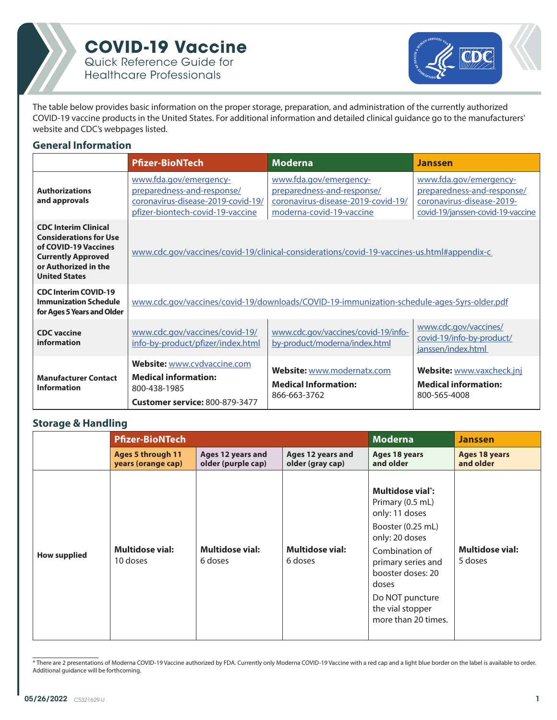

#### **COVID-19 Vaccine** Quick Reference Guide for

Healthcare Professionals



The table below provides basic information on the proper storage, preparation, and administration of the currently authorized COVID-19 vaccine products in the United States. For additional information and detailed clinical guidance go to the manufacturers' website and CDC's webpages listed.

#### **General Information**

|                                                                                                                                                                   | <b>Pfizer-BioNTech</b>                                                                                                         | <b>Moderna</b>                                                                                                         | <b>Janssen</b>                                                                                                         |
|-------------------------------------------------------------------------------------------------------------------------------------------------------------------|--------------------------------------------------------------------------------------------------------------------------------|------------------------------------------------------------------------------------------------------------------------|------------------------------------------------------------------------------------------------------------------------|
| <b>Authorizations</b><br>and approvals                                                                                                                            | www.fda.gov/emergency-<br>preparedness-and-response/<br>coronavirus-disease-2019-covid-19/<br>pfizer-biontech-covid-19-vaccine | www.fda.gov/emergency-<br>preparedness-and-response/<br>coronavirus-disease-2019-covid-19/<br>moderna-covid-19-vaccine | www.fda.gov/emergency-<br>preparedness-and-response/<br>coronavirus-disease-2019-<br>covid-19/janssen-covid-19-vaccine |
| <b>CDC Interim Clinical</b><br><b>Considerations for Use</b><br>of COVID-19 Vaccines<br><b>Currently Approved</b><br>or Authorized in the<br><b>United States</b> |                                                                                                                                | www.cdc.gov/vaccines/covid-19/clinical-considerations/covid-19-vaccines-us.html#appendix-c                             |                                                                                                                        |
| <b>CDC Interim COVID-19</b><br><b>Immunization Schedule</b><br>for Ages 5 Years and Older                                                                         |                                                                                                                                | www.cdc.gov/vaccines/covid-19/downloads/COVID-19-immunization-schedule-ages-5yrs-older.pdf                             |                                                                                                                        |
| <b>CDC</b> vaccine<br>information                                                                                                                                 | www.cdc.gov/vaccines/covid-19/<br>info-by-product/pfizer/index.html                                                            | www.cdc.gov/vaccines/covid-19/info-<br>by-product/moderna/index.html                                                   | www.cdc.gov/vaccines/<br>covid-19/info-by-product/<br>janssen/index.html                                               |
| <b>Manufacturer Contact</b><br><b>Information</b>                                                                                                                 | <b>Website:</b> www.cvdvaccine.com<br><b>Medical information:</b><br>800-438-1985<br>Customer service: 800-879-3477            | Website: www.modernatx.com<br><b>Medical Information:</b><br>866-663-3762                                              | Website: www.vaxcheck.jnj<br><b>Medical information:</b><br>800-565-4008                                               |

#### **Storage & Handling**

|                     | <b>Pfizer-BioNTech</b>                         |                                         |                                       | <b>Moderna</b>                                                                                                                                                                                                                                 | <b>Janssen</b>                    |
|---------------------|------------------------------------------------|-----------------------------------------|---------------------------------------|------------------------------------------------------------------------------------------------------------------------------------------------------------------------------------------------------------------------------------------------|-----------------------------------|
|                     | <b>Ages 5 through 11</b><br>years (orange cap) | Ages 12 years and<br>older (purple cap) | Ages 12 years and<br>older (gray cap) | <b>Ages 18 years</b><br>and older                                                                                                                                                                                                              | <b>Ages 18 years</b><br>and older |
| <b>How supplied</b> | <b>Multidose vial:</b><br>10 doses             | <b>Multidose vial:</b><br>6 doses       | <b>Multidose vial:</b><br>6 doses     | Multidose vial <sup>*</sup> :<br>Primary (0.5 mL)<br>only: 11 doses<br>Booster (0.25 mL)<br>only: 20 doses<br>Combination of<br>primary series and<br>booster doses: 20<br>doses<br>Do NOT puncture<br>the vial stopper<br>more than 20 times. | <b>Multidose vial:</b><br>5 doses |

<sup>\*</sup> There are 2 presentations of Moderna COVID-19 Vaccine authorized by FDA. Currently only Moderna COVID-19 Vaccine with a red cap and a light blue border on the label is available to order. Additional guidance will be forthcoming.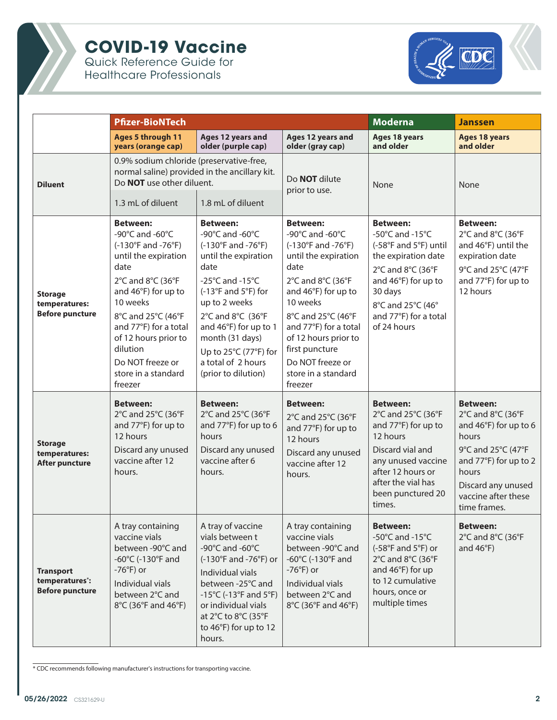

Quick Reference Guide for Healthcare Professionals



|                                                              | <b>Pfizer-BioNTech</b>                                                                                                                                                                                                                                                                    |                                                                                                                                                                                                                                                                                                                  |                                                                                                                                                                                                                                                                                                 | <b>Moderna</b>                                                                                                                                                                                                               | Janssen                                                                                                                                                                                     |
|--------------------------------------------------------------|-------------------------------------------------------------------------------------------------------------------------------------------------------------------------------------------------------------------------------------------------------------------------------------------|------------------------------------------------------------------------------------------------------------------------------------------------------------------------------------------------------------------------------------------------------------------------------------------------------------------|-------------------------------------------------------------------------------------------------------------------------------------------------------------------------------------------------------------------------------------------------------------------------------------------------|------------------------------------------------------------------------------------------------------------------------------------------------------------------------------------------------------------------------------|---------------------------------------------------------------------------------------------------------------------------------------------------------------------------------------------|
|                                                              | <b>Ages 5 through 11</b><br>years (orange cap)                                                                                                                                                                                                                                            | Ages 12 years and<br>older (purple cap)                                                                                                                                                                                                                                                                          | Ages 12 years and<br>older (gray cap)                                                                                                                                                                                                                                                           | Ages 18 years<br>and older                                                                                                                                                                                                   | <b>Ages 18 years</b><br>and older                                                                                                                                                           |
| <b>Diluent</b>                                               | 0.9% sodium chloride (preservative-free,<br>normal saline) provided in the ancillary kit.<br>Do <b>NOT</b> use other diluent.                                                                                                                                                             |                                                                                                                                                                                                                                                                                                                  | Do <b>NOT</b> dilute<br>None<br>prior to use.                                                                                                                                                                                                                                                   |                                                                                                                                                                                                                              | None                                                                                                                                                                                        |
|                                                              | 1.3 mL of diluent                                                                                                                                                                                                                                                                         | 1.8 mL of diluent                                                                                                                                                                                                                                                                                                |                                                                                                                                                                                                                                                                                                 |                                                                                                                                                                                                                              |                                                                                                                                                                                             |
| <b>Storage</b><br>temperatures:<br><b>Before puncture</b>    | <b>Between:</b><br>-90°C and -60°C<br>(-130°F and -76°F)<br>until the expiration<br>date<br>2°C and 8°C (36°F<br>and 46°F) for up to<br>10 weeks<br>8°C and 25°C (46°F<br>and 77°F) for a total<br>of 12 hours prior to<br>dilution<br>Do NOT freeze or<br>store in a standard<br>freezer | <b>Between:</b><br>-90°C and -60°C<br>(-130°F and -76°F)<br>until the expiration<br>date<br>-25 $^{\circ}$ C and -15 $^{\circ}$ C<br>(-13°F and 5°F) for<br>up to 2 weeks<br>2°C and 8°C (36°F<br>and 46°F) for up to 1<br>month (31 days)<br>Up to 25°C (77°F) for<br>a total of 2 hours<br>(prior to dilution) | <b>Between:</b><br>-90°C and -60°C<br>(-130°F and -76°F)<br>until the expiration<br>date<br>2°C and 8°C (36°F<br>and 46°F) for up to<br>10 weeks<br>8°C and 25°C (46°F<br>and 77°F) for a total<br>of 12 hours prior to<br>first puncture<br>Do NOT freeze or<br>store in a standard<br>freezer | <b>Between:</b><br>-50 $^{\circ}$ C and -15 $^{\circ}$ C<br>(-58°F and 5°F) until<br>the expiration date<br>2°C and 8°C (36°F<br>and 46°F) for up to<br>30 days<br>8°C and 25°C (46°<br>and 77°F) for a total<br>of 24 hours | <b>Between:</b><br>2°C and 8°C (36°F<br>and 46°F) until the<br>expiration date<br>9°C and 25°C (47°F<br>and 77°F) for up to<br>12 hours                                                     |
| <b>Storage</b><br>temperatures:<br><b>After puncture</b>     | <b>Between:</b><br>2°C and 25°C (36°F<br>and 77°F) for up to<br>12 hours<br>Discard any unused<br>vaccine after 12<br>hours.                                                                                                                                                              | <b>Between:</b><br>2°C and 25°C (36°F<br>and 77°F) for up to 6<br>hours<br>Discard any unused<br>vaccine after 6<br>hours.                                                                                                                                                                                       | <b>Between:</b><br>2°C and 25°C (36°F<br>and 77°F) for up to<br>12 hours<br>Discard any unused<br>vaccine after 12<br>hours.                                                                                                                                                                    | <b>Between:</b><br>2°C and 25°C (36°F<br>and 77°F) for up to<br>12 hours<br>Discard vial and<br>any unused vaccine<br>after 12 hours or<br>after the vial has<br>been punctured 20<br>times.                                 | <b>Between:</b><br>2°C and 8°C (36°F<br>and 46°F) for up to 6<br>hours<br>9°C and 25°C (47°F<br>and 77°F) for up to 2<br>hours<br>Discard any unused<br>vaccine after these<br>time frames. |
| <b>Transport</b><br>temperatures*:<br><b>Before puncture</b> | A tray containing<br>vaccine vials<br>between -90°C and<br>-60 $\degree$ C (-130 $\degree$ F and<br>$-76^{\circ}$ F) or<br>Individual vials<br>between 2°C and<br>8°C (36°F and 46°F)                                                                                                     | A tray of vaccine<br>vials between t<br>-90°C and -60°C<br>(-130°F and -76°F) or<br>Individual vials<br>between -25°C and<br>-15 $^{\circ}$ C (-13 $^{\circ}$ F and 5 $^{\circ}$ F)<br>or individual vials<br>at 2°C to 8°C (35°F<br>to 46°F) for up to 12<br>hours.                                             | A tray containing<br>vaccine vials<br>between -90°C and<br>-60 $\degree$ C (-130 $\degree$ F and<br>$-76^{\circ}$ F) or<br>Individual vials<br>between 2°C and<br>8°C (36°F and 46°F)                                                                                                           | <b>Between:</b><br>-50 $^{\circ}$ C and -15 $^{\circ}$ C<br>$(-58^{\circ}F \text{ and } 5^{\circ}F)$ or<br>2°C and 8°C (36°F<br>and 46°F) for up<br>to 12 cumulative<br>hours, once or<br>multiple times                     | <b>Between:</b><br>2°C and 8°C (36°F<br>and $46^{\circ}F$ )                                                                                                                                 |

\* CDC recommends following manufacturer's instructions for transporting vaccine.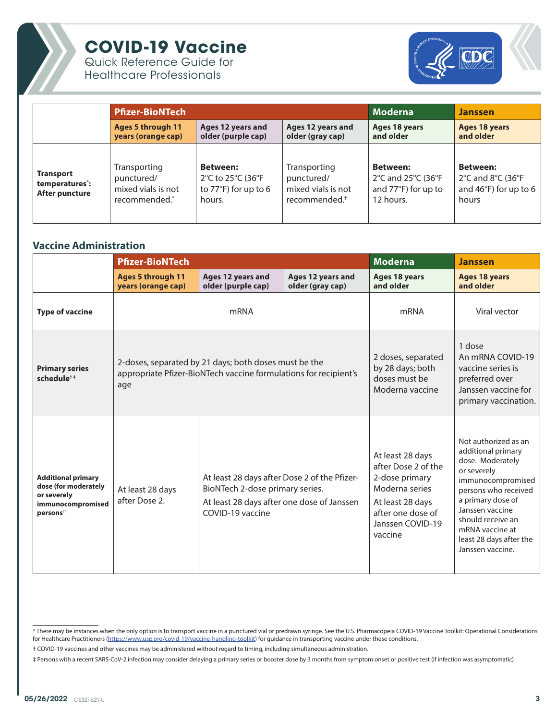

Quick Reference Guide for Healthcare Professionals



|                                                                   | <b>Pfizer-BioNTech</b>                                            |                                                                        |                                                                               | <b>Moderna</b>                                                            | <b>Janssen</b>                                                                                                  |
|-------------------------------------------------------------------|-------------------------------------------------------------------|------------------------------------------------------------------------|-------------------------------------------------------------------------------|---------------------------------------------------------------------------|-----------------------------------------------------------------------------------------------------------------|
|                                                                   | <b>Ages 5 through 11</b><br>years (orange cap)                    | Ages 12 years and<br>older (purple cap)                                | Ages 12 years and<br>older (gray cap)                                         | Ages 18 years<br>and older                                                | Ages 18 years<br>and older                                                                                      |
| <b>Transport</b><br>temperatures <sup>*</sup> :<br>After puncture | Transporting<br>punctured/<br>mixed vials is not<br>recommended.* | <b>Between:</b><br>2°C to 25°C (36°F<br>to 77°F) for up to 6<br>hours. | Transporting<br>punctured/<br>mixed vials is not<br>recommended. <sup>†</sup> | <b>Between:</b><br>2°C and 25°C (36°F<br>and 77°F) for up to<br>12 hours. | <b>Between:</b><br>$2^{\circ}$ C and $8^{\circ}$ C (36 $^{\circ}$ F<br>and 46 $\degree$ F) for up to 6<br>hours |

#### **Vaccine Administration**

|                                                                                                               | <b>Pfizer-BioNTech</b>                         |                                                                                                                                                   |                                       | <b>Moderna</b>                                                                                                                                      | <b>Janssen</b>                                                                                                                                                                                                                                            |
|---------------------------------------------------------------------------------------------------------------|------------------------------------------------|---------------------------------------------------------------------------------------------------------------------------------------------------|---------------------------------------|-----------------------------------------------------------------------------------------------------------------------------------------------------|-----------------------------------------------------------------------------------------------------------------------------------------------------------------------------------------------------------------------------------------------------------|
|                                                                                                               | <b>Ages 5 through 11</b><br>years (orange cap) | Ages 12 years and<br>older (purple cap)                                                                                                           | Ages 12 years and<br>older (gray cap) | <b>Ages 18 years</b><br>and older                                                                                                                   | <b>Ages 18 years</b><br>and older                                                                                                                                                                                                                         |
| <b>Type of vaccine</b>                                                                                        |                                                | mRNA                                                                                                                                              |                                       | mRNA                                                                                                                                                | Viral vector                                                                                                                                                                                                                                              |
| <b>Primary series</b><br>schedule <sup>+</sup>                                                                | age                                            | 2-doses, separated by 21 days; both doses must be the<br>appropriate Pfizer-BioNTech vaccine formulations for recipient's                         |                                       | 2 doses, separated<br>by 28 days; both<br>doses must be<br>Moderna vaccine                                                                          | 1 dose<br>An mRNA COVID-19<br>vaccine series is<br>preferred over<br>Janssen vaccine for<br>primary vaccination.                                                                                                                                          |
| <b>Additional primary</b><br>dose (for moderately<br>or severely<br>immunocompromised<br>persons <sup>#</sup> | At least 28 days<br>after Dose 2.              | At least 28 days after Dose 2 of the Pfizer-<br>BioNTech 2-dose primary series.<br>At least 28 days after one dose of Janssen<br>COVID-19 vaccine |                                       | At least 28 days<br>after Dose 2 of the<br>2-dose primary<br>Moderna series<br>At least 28 days<br>after one dose of<br>Janssen COVID-19<br>vaccine | Not authorized as an<br>additional primary<br>dose. Moderately<br>or severely<br>immunocompromised<br>persons who received<br>a primary dose of<br>Janssen vaccine<br>should receive an<br>mRNA vaccine at<br>least 28 days after the<br>Janssen vaccine. |

<sup>\*</sup> There may be instances when the only option is to transport vaccine in a punctured vial or predrawn syringe. See the U.S. Pharmacopeia COVID-19 Vaccine Toolkit: Operational Considerations for Healthcare Practitioners ([https://www.usp.org/covid-19/vaccine-handling-toolkit\)](https://www.usp.org/covid-19/vaccine-handling-toolkit) for guidance in transporting vaccine under these conditions.

<sup>†</sup> COVID-19 vaccines and other vaccines may be administered without regard to timing, including simultaneous administration.

<sup>‡</sup> Persons with a recent SARS-CoV-2 infection may consider delaying a primary series or booster dose by 3 months from symptom onset or positive test (if infection was asymptomatic)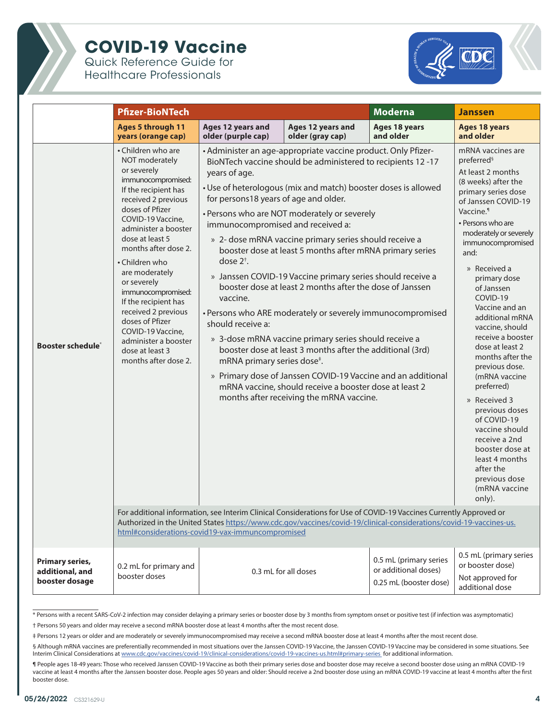

Quick Reference Guide for Healthcare Professionals



|                                                             | <b>Pfizer-BioNTech</b>                                                                                                                                                                                                                                                                                                                                                                                                                                                 |                                                                                                                                                                                                                                                     |                                                                                                                                                                                                                                                                                                                                                                                                                                                                                                                                                                                                                                                                                                                                                                                                                                                                                                                                                                                                                                                                                                        | <b>Moderna</b>                                                           | <b>Janssen</b>                                                                                                                                                                                                                                                                                                                                                                                                                                                                                                                                                                                                                                              |
|-------------------------------------------------------------|------------------------------------------------------------------------------------------------------------------------------------------------------------------------------------------------------------------------------------------------------------------------------------------------------------------------------------------------------------------------------------------------------------------------------------------------------------------------|-----------------------------------------------------------------------------------------------------------------------------------------------------------------------------------------------------------------------------------------------------|--------------------------------------------------------------------------------------------------------------------------------------------------------------------------------------------------------------------------------------------------------------------------------------------------------------------------------------------------------------------------------------------------------------------------------------------------------------------------------------------------------------------------------------------------------------------------------------------------------------------------------------------------------------------------------------------------------------------------------------------------------------------------------------------------------------------------------------------------------------------------------------------------------------------------------------------------------------------------------------------------------------------------------------------------------------------------------------------------------|--------------------------------------------------------------------------|-------------------------------------------------------------------------------------------------------------------------------------------------------------------------------------------------------------------------------------------------------------------------------------------------------------------------------------------------------------------------------------------------------------------------------------------------------------------------------------------------------------------------------------------------------------------------------------------------------------------------------------------------------------|
|                                                             | <b>Ages 5 through 11</b><br>years (orange cap)                                                                                                                                                                                                                                                                                                                                                                                                                         | Ages 12 years and<br>older (purple cap)                                                                                                                                                                                                             | Ages 12 years and<br>older (gray cap)                                                                                                                                                                                                                                                                                                                                                                                                                                                                                                                                                                                                                                                                                                                                                                                                                                                                                                                                                                                                                                                                  | Ages 18 years<br>and older                                               | <b>Ages 18 years</b><br>and older                                                                                                                                                                                                                                                                                                                                                                                                                                                                                                                                                                                                                           |
| <b>Booster schedule</b> *                                   | • Children who are<br>NOT moderately<br>or severely<br>immunocompromised:<br>If the recipient has<br>received 2 previous<br>doses of Pfizer<br>COVID-19 Vaccine,<br>administer a booster<br>dose at least 5<br>months after dose 2.<br>• Children who<br>are moderately<br>or severely<br>immunocompromised:<br>If the recipient has<br>received 2 previous<br>doses of Pfizer<br>COVID-19 Vaccine,<br>administer a booster<br>dose at least 3<br>months after dose 2. | years of age.<br>for persons18 years of age and older.<br>immunocompromised and received a:<br>dose $2^{\dagger}$ .<br>vaccine.<br>should receive a:<br>mRNA primary series dose <sup>#</sup> .<br>html#considerations-covid19-vax-immuncompromised | • Administer an age-appropriate vaccine product. Only Pfizer-<br>BioNTech vaccine should be administered to recipients 12 -17<br>• Use of heterologous (mix and match) booster doses is allowed<br>• Persons who are NOT moderately or severely<br>» 2- dose mRNA vaccine primary series should receive a<br>booster dose at least 5 months after mRNA primary series<br>» Janssen COVID-19 Vaccine primary series should receive a<br>booster dose at least 2 months after the dose of Janssen<br>• Persons who ARE moderately or severely immunocompromised<br>» 3-dose mRNA vaccine primary series should receive a<br>booster dose at least 3 months after the additional (3rd)<br>» Primary dose of Janssen COVID-19 Vaccine and an additional<br>mRNA vaccine, should receive a booster dose at least 2<br>months after receiving the mRNA vaccine.<br>For additional information, see Interim Clinical Considerations for Use of COVID-19 Vaccines Currently Approved or<br>Authorized in the United States https://www.cdc.gov/vaccines/covid-19/clinical-considerations/covid-19-vaccines-us. |                                                                          | mRNA vaccines are<br>preferred <sup>§</sup><br>At least 2 months<br>(8 weeks) after the<br>primary series dose<br>of Janssen COVID-19<br>Vaccine. <sup>1</sup><br>• Persons who are<br>moderately or severely<br>immunocompromised<br>and:<br>» Received a<br>primary dose<br>of Janssen<br>COVID-19<br>Vaccine and an<br>additional mRNA<br>vaccine, should<br>receive a booster<br>dose at least 2<br>months after the<br>previous dose.<br>(mRNA vaccine<br>preferred)<br>» Received 3<br>previous doses<br>of COVID-19<br>vaccine should<br>receive a 2nd<br>booster dose at<br>least 4 months<br>after the<br>previous dose<br>(mRNA vaccine<br>only). |
| <b>Primary series,</b><br>additional, and<br>booster dosage | 0.2 mL for primary and<br>booster doses                                                                                                                                                                                                                                                                                                                                                                                                                                |                                                                                                                                                                                                                                                     | 0.3 mL for all doses                                                                                                                                                                                                                                                                                                                                                                                                                                                                                                                                                                                                                                                                                                                                                                                                                                                                                                                                                                                                                                                                                   | 0.5 mL (primary series<br>or additional doses)<br>0.25 mL (booster dose) | 0.5 mL (primary series<br>or booster dose)<br>Not approved for<br>additional dose                                                                                                                                                                                                                                                                                                                                                                                                                                                                                                                                                                           |

<sup>\*</sup> Persons with a recent SARS-CoV-2 infection may consider delaying a primary series or booster dose by 3 months from symptom onset or positive test (if infection was asymptomatic)

<sup>†</sup> Persons 50 years and older may receive a second mRNA booster dose at least 4 months after the most recent dose.

<sup>‡</sup> Persons 12 years or older and are moderately or severely immunocompromised may receive a second mRNA booster dose at least 4 months after the most recent dose.

<sup>§</sup> Although mRNA vaccines are preferentially recommended in most situations over the Janssen COVID-19 Vaccine, the Janssen COVID-19 Vaccine may be considered in some situations. See Interim Clinical Considerations at [www.cdc.gov/vaccines/covid-19/clinical-considerations/covid-19-vaccines-us.html#primary-series](http://www.cdc.gov/vaccines/covid-19/clinical-considerations/covid-19-vaccines-us.html#primary-series ) for additional information.

<sup>¶</sup> People ages 18-49 years: Those who received Janssen COVID-19 Vaccine as both their primary series dose and booster dose may receive a second booster dose using an mRNA COVID-19 vaccine at least 4 months after the Janssen booster dose. People ages 50 years and older: Should receive a 2nd booster dose using an mRNA COVID-19 vaccine at least 4 months after the first booster dose.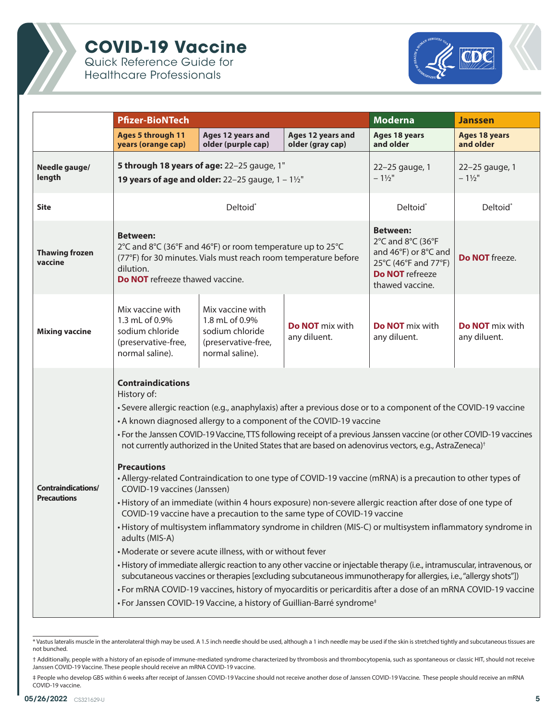

Quick Reference Guide for Healthcare Professionals



|                                                 | <b>Pfizer-BioNTech</b>                                                                                                                                                                                                                                                                                                                                                                                                                                                                                                                                                                                                                                                                                                                                                                                                                                                                                                                                                                                                                                                                                                                                                                                                                                                                                                                                                                                                                                                                        |                                                                                                 | <b>Moderna</b>                         | <b>Janssen</b>                                                                                                                    |                                        |
|-------------------------------------------------|-----------------------------------------------------------------------------------------------------------------------------------------------------------------------------------------------------------------------------------------------------------------------------------------------------------------------------------------------------------------------------------------------------------------------------------------------------------------------------------------------------------------------------------------------------------------------------------------------------------------------------------------------------------------------------------------------------------------------------------------------------------------------------------------------------------------------------------------------------------------------------------------------------------------------------------------------------------------------------------------------------------------------------------------------------------------------------------------------------------------------------------------------------------------------------------------------------------------------------------------------------------------------------------------------------------------------------------------------------------------------------------------------------------------------------------------------------------------------------------------------|-------------------------------------------------------------------------------------------------|----------------------------------------|-----------------------------------------------------------------------------------------------------------------------------------|----------------------------------------|
|                                                 | <b>Ages 5 through 11</b><br>years (orange cap)                                                                                                                                                                                                                                                                                                                                                                                                                                                                                                                                                                                                                                                                                                                                                                                                                                                                                                                                                                                                                                                                                                                                                                                                                                                                                                                                                                                                                                                | Ages 12 years and<br>older (purple cap)                                                         | Ages 12 years and<br>older (gray cap)  | Ages 18 years<br>and older                                                                                                        | <b>Ages 18 years</b><br>and older      |
| Needle gauge/<br>length                         | 5 through 18 years of age: 22-25 gauge, 1"<br><b>19 years of age and older:</b> 22-25 gauge, $1 - 1\frac{1}{2}$ "                                                                                                                                                                                                                                                                                                                                                                                                                                                                                                                                                                                                                                                                                                                                                                                                                                                                                                                                                                                                                                                                                                                                                                                                                                                                                                                                                                             |                                                                                                 |                                        | 22-25 gauge, 1<br>$-1\frac{1}{2}$                                                                                                 | 22-25 gauge, 1<br>$-1\frac{1}{2}$ "    |
| <b>Site</b>                                     | Deltoid*                                                                                                                                                                                                                                                                                                                                                                                                                                                                                                                                                                                                                                                                                                                                                                                                                                                                                                                                                                                                                                                                                                                                                                                                                                                                                                                                                                                                                                                                                      |                                                                                                 |                                        | Deltoid*                                                                                                                          | Deltoid*                               |
| <b>Thawing frozen</b><br>vaccine                | <b>Between:</b><br>2°C and 8°C (36°F and 46°F) or room temperature up to 25°C<br>(77°F) for 30 minutes. Vials must reach room temperature before<br>dilution.<br>Do NOT refreeze thawed vaccine.                                                                                                                                                                                                                                                                                                                                                                                                                                                                                                                                                                                                                                                                                                                                                                                                                                                                                                                                                                                                                                                                                                                                                                                                                                                                                              |                                                                                                 |                                        | <b>Between:</b><br>2°C and 8°C (36°F<br>and 46°F) or 8°C and<br>25°C (46°F and 77°F)<br><b>Do NOT</b> refreeze<br>thawed vaccine. | Do NOT freeze.                         |
| <b>Mixing vaccine</b>                           | Mix vaccine with<br>1.3 mL of 0.9%<br>sodium chloride<br>(preservative-free,<br>normal saline).                                                                                                                                                                                                                                                                                                                                                                                                                                                                                                                                                                                                                                                                                                                                                                                                                                                                                                                                                                                                                                                                                                                                                                                                                                                                                                                                                                                               | Mix vaccine with<br>1.8 mL of 0.9%<br>sodium chloride<br>(preservative-free,<br>normal saline). | <b>Do NOT</b> mix with<br>any diluent. | <b>Do NOT</b> mix with<br>any diluent.                                                                                            | <b>Do NOT</b> mix with<br>any diluent. |
| <b>Contraindications/</b><br><b>Precautions</b> | <b>Contraindications</b><br>History of:<br>• Severe allergic reaction (e.g., anaphylaxis) after a previous dose or to a component of the COVID-19 vaccine<br>• A known diagnosed allergy to a component of the COVID-19 vaccine<br>• For the Janssen COVID-19 Vaccine, TTS following receipt of a previous Janssen vaccine (or other COVID-19 vaccines<br>not currently authorized in the United States that are based on adenovirus vectors, e.g., AstraZeneca) <sup>†</sup><br><b>Precautions</b><br>• Allergy-related Contraindication to one type of COVID-19 vaccine (mRNA) is a precaution to other types of<br>COVID-19 vaccines (Janssen)<br>• History of an immediate (within 4 hours exposure) non-severe allergic reaction after dose of one type of<br>COVID-19 vaccine have a precaution to the same type of COVID-19 vaccine<br>• History of multisystem inflammatory syndrome in children (MIS-C) or multisystem inflammatory syndrome in<br>adults (MIS-A)<br>• Moderate or severe acute illness, with or without fever<br>• History of immediate allergic reaction to any other vaccine or injectable therapy (i.e., intramuscular, intravenous, or<br>subcutaneous vaccines or therapies [excluding subcutaneous immunotherapy for allergies, i.e., "allergy shots"])<br>• For mRNA COVID-19 vaccines, history of myocarditis or pericarditis after a dose of an mRNA COVID-19 vaccine<br>• For Janssen COVID-19 Vaccine, a history of Guillian-Barré syndrome <sup>#</sup> |                                                                                                 |                                        |                                                                                                                                   |                                        |

<sup>\*</sup> Vastus lateralis muscle in the anterolateral thigh may be used. A 1.5 inch needle should be used, although a 1 inch needle may be used if the skin is stretched tightly and subcutaneous tissues are not bunched.

‡ People who develop GBS within 6 weeks after receipt of Janssen COVID-19 Vaccine should not receive another dose of Janssen COVID-19 Vaccine. These people should receive an mRNA COVID-19 vaccine.

<sup>†</sup> Additionally, people with a history of an episode of immune-mediated syndrome characterized by thrombosis and thrombocytopenia, such as spontaneous or classic HIT, should not receive Janssen COVID-19 Vaccine. These people should receive an mRNA COVID-19 vaccine.